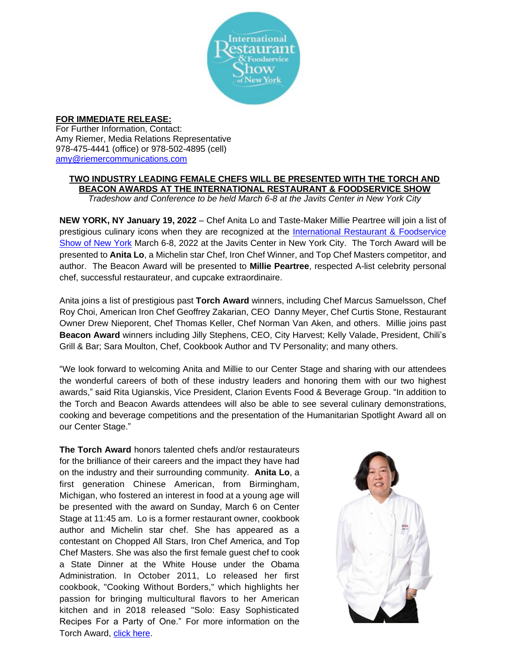

## **FOR IMMEDIATE RELEASE:**

For Further Information, Contact: Amy Riemer, Media Relations Representative 978-475-4441 (office) or 978-502-4895 (cell) [amy@riemercommunications.com](mailto:amy@riemercommunications.com)

## **TWO INDUSTRY LEADING FEMALE CHEFS WILL BE PRESENTED WITH THE TORCH AND BEACON AWARDS AT THE INTERNATIONAL RESTAURANT & FOODSERVICE SHOW**

*Tradeshow and Conference to be held March 6-8 at the Javits Center in New York City*

**NEW YORK, NY January 19, 2022** – Chef Anita Lo and Taste-Maker Millie Peartree will join a list of prestigious culinary icons when they are recognized at the [International Restaurant & Foodservice](http://www.internationalrestaurantny.com/)  [Show of New York](http://www.internationalrestaurantny.com/) March 6-8, 2022 at the Javits Center in New York City. The Torch Award will be presented to **Anita Lo**, a Michelin star Chef, Iron Chef Winner, and Top Chef Masters competitor, and author. The Beacon Award will be presented to **Millie Peartree**, respected A-list celebrity personal chef, successful restaurateur, and cupcake extraordinaire.

Anita joins a list of prestigious past **Torch Award** winners, including Chef Marcus Samuelsson, Chef Roy Choi, American Iron Chef Geoffrey Zakarian, CEO Danny Meyer, Chef Curtis Stone, Restaurant Owner Drew Nieporent, Chef Thomas Keller, Chef Norman Van Aken, and others. Millie joins past **Beacon Award** winners including Jilly Stephens, CEO, City Harvest; Kelly Valade, President, Chili's Grill & Bar; Sara Moulton, Chef, Cookbook Author and TV Personality; and many others.

"We look forward to welcoming Anita and Millie to our Center Stage and sharing with our attendees the wonderful careers of both of these industry leaders and honoring them with our two highest awards," said Rita Ugianskis, Vice President, Clarion Events Food & Beverage Group. "In addition to the Torch and Beacon Awards attendees will also be able to see several culinary demonstrations, cooking and beverage competitions and the presentation of the Humanitarian Spotlight Award all on our Center Stage."

**The Torch Award** honors talented chefs and/or restaurateurs for the brilliance of their careers and the impact they have had on the industry and their surrounding community. **Anita Lo**, a first generation Chinese American, from Birmingham, Michigan, who fostered an interest in food at a young age will be presented with the award on Sunday, March 6 on Center Stage at 11:45 am. Lo is a former restaurant owner, cookbook author and Michelin star chef. She has appeared as a contestant on Chopped All Stars, Iron Chef America, and Top Chef Masters. She was also the first female guest chef to cook a State Dinner at the White House under the Obama Administration. In October 2011, Lo released her first cookbook, "Cooking Without Borders," which highlights her passion for bringing multicultural flavors to her American kitchen and in 2018 released "Solo: Easy Sophisticated Recipes For a Party of One." For more information on the Torch Award, [click here.](https://www.internationalrestaurantny.com/torch-award-recipients)